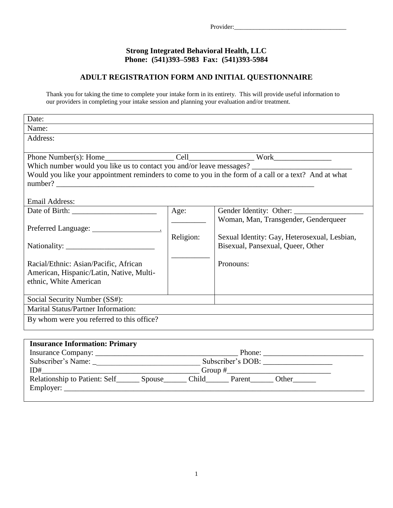## **Strong Integrated Behavioral Health, LLC Phone: (541)393–5983 Fax: (541)393-5984**

## **ADULT REGISTRATION FORM AND INITIAL QUESTIONNAIRE**

Thank you for taking the time to complete your intake form in its entirety. This will provide useful information to our providers in completing your intake session and planning your evaluation and/or treatment.

| Date:                                                                                                 |           |                                              |
|-------------------------------------------------------------------------------------------------------|-----------|----------------------------------------------|
| Name:                                                                                                 |           |                                              |
| Address:                                                                                              |           |                                              |
|                                                                                                       |           |                                              |
|                                                                                                       |           |                                              |
|                                                                                                       |           |                                              |
| Would you like your appointment reminders to come to you in the form of a call or a text? And at what |           |                                              |
|                                                                                                       |           |                                              |
|                                                                                                       |           |                                              |
| Email Address:                                                                                        |           |                                              |
|                                                                                                       | Age:      | Gender Identity: Other:                      |
|                                                                                                       |           | Woman, Man, Transgender, Genderqueer         |
|                                                                                                       | Religion: | Sexual Identity: Gay, Heterosexual, Lesbian, |
|                                                                                                       |           | Bisexual, Pansexual, Queer, Other            |
|                                                                                                       |           |                                              |
| Racial/Ethnic: Asian/Pacific, African                                                                 |           | Pronouns:                                    |
| American, Hispanic/Latin, Native, Multi-                                                              |           |                                              |
| ethnic, White American                                                                                |           |                                              |
|                                                                                                       |           |                                              |
| Social Security Number (SS#):                                                                         |           |                                              |
| <b>Marital Status/Partner Information:</b>                                                            |           |                                              |
| By whom were you referred to this office?                                                             |           |                                              |
|                                                                                                       |           |                                              |

| <b>Insurance Information: Primary</b> |                                    |  |  |  |
|---------------------------------------|------------------------------------|--|--|--|
|                                       | Phone:                             |  |  |  |
| Subscriber's Name:                    | Subscriber's DOB:                  |  |  |  |
| ID#                                   | Group $#$                          |  |  |  |
| Relationship to Patient: Self         | Child<br>Parent<br>Other<br>Spouse |  |  |  |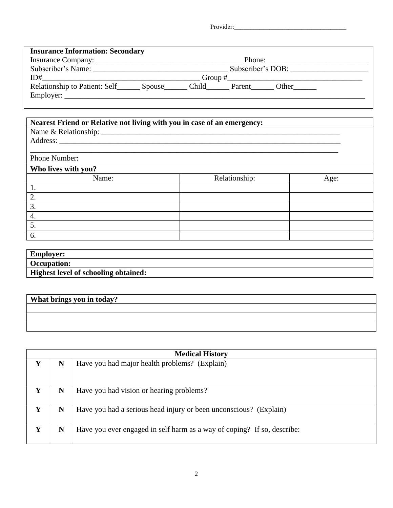Provider:\_\_\_\_\_\_\_\_\_\_\_\_\_\_\_\_\_\_\_\_\_\_\_\_\_\_\_\_\_\_\_\_\_\_\_

| <b>Insurance Information: Secondary</b>    |                                                           |
|--------------------------------------------|-----------------------------------------------------------|
|                                            | Phone: $\frac{1}{\sqrt{1-\frac{1}{2}} \cdot \frac{1}{2}}$ |
| Subscriber's Name:                         | Subscriber's DOB:                                         |
| ID#                                        | $Group~\#$                                                |
| Relationship to Patient: Self<br>Employer: | Child<br>Other<br>Spouse<br>Parent                        |

## **Nearest Friend or Relative not living with you in case of an emergency:**

Name & Relationship: \_\_\_\_\_\_\_\_\_\_\_\_\_\_\_\_\_\_\_\_\_\_\_\_\_\_\_\_\_\_\_\_\_\_\_\_\_\_\_\_\_\_\_\_\_\_\_\_\_\_\_\_\_\_\_\_\_\_\_\_\_\_

| Address:            |               |      |
|---------------------|---------------|------|
| Phone Number:       |               |      |
| Who lives with you? |               |      |
| Name:               | Relationship: | Age: |
| 1.                  |               |      |
| 2.                  |               |      |
| 3.                  |               |      |
| 4.                  |               |      |
| 5.                  |               |      |
| 6.                  |               |      |

| <b>Employer:</b>                            |  |
|---------------------------------------------|--|
| <b>Occupation:</b>                          |  |
| <b>Highest level of schooling obtained:</b> |  |

| What brings you in today? |  |
|---------------------------|--|
|                           |  |
|                           |  |
|                           |  |

|   |   | <b>Medical History</b>                                                  |
|---|---|-------------------------------------------------------------------------|
| Y | N | Have you had major health problems? (Explain)                           |
| Y | N | Have you had vision or hearing problems?                                |
| Y | N | Have you had a serious head injury or been unconscious? (Explain)       |
| Y | N | Have you ever engaged in self harm as a way of coping? If so, describe: |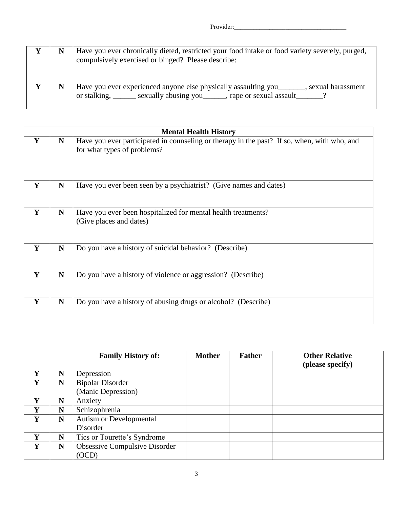|  | Have you ever chronically dieted, restricted your food intake or food variety severely, purged,<br>compulsively exercised or binged? Please describe: |
|--|-------------------------------------------------------------------------------------------------------------------------------------------------------|
|  | Have you ever experienced anyone else physically assaulting you<br>, sexual harassment<br>or stalking, sexually abusing you, rape or sexual assault   |

|   |             | <b>Mental Health History</b>                                                                                               |
|---|-------------|----------------------------------------------------------------------------------------------------------------------------|
| Y | N           | Have you ever participated in counseling or therapy in the past? If so, when, with who, and<br>for what types of problems? |
| Y | $\mathbf N$ | Have you ever been seen by a psychiatrist? (Give names and dates)                                                          |
| Y | N           | Have you ever been hospitalized for mental health treatments?<br>(Give places and dates)                                   |
| Y | ${\bf N}$   | Do you have a history of suicidal behavior? (Describe)                                                                     |
| Y | ${\bf N}$   | Do you have a history of violence or aggression? (Describe)                                                                |
| Y | $\mathbf N$ | Do you have a history of abusing drugs or alcohol? (Describe)                                                              |

|   |   | <b>Family History of:</b>      | <b>Mother</b> | <b>Father</b> | <b>Other Relative</b> |
|---|---|--------------------------------|---------------|---------------|-----------------------|
|   |   |                                |               |               | (please specify)      |
| v | N | Depression                     |               |               |                       |
| Y | N | <b>Bipolar Disorder</b>        |               |               |                       |
|   |   | (Manic Depression)             |               |               |                       |
| Y | N | Anxiety                        |               |               |                       |
| Y | N | Schizophrenia                  |               |               |                       |
| Y | N | <b>Autism or Developmental</b> |               |               |                       |
|   |   | Disorder                       |               |               |                       |
| Y | N | Tics or Tourette's Syndrome    |               |               |                       |
| Y | N | Obsessive Compulsive Disorder  |               |               |                       |
|   |   | (OCD)                          |               |               |                       |